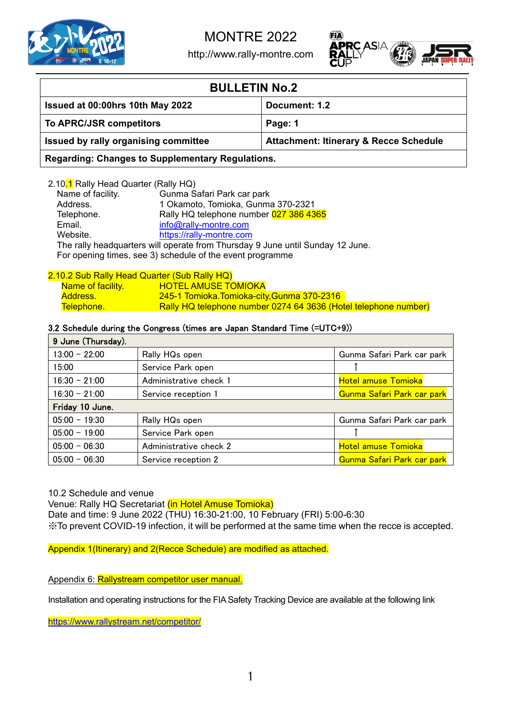

http://www.rally-montre.com



| <b>BULLETIN No.2</b>                            |                                                   |  |  |  |  |
|-------------------------------------------------|---------------------------------------------------|--|--|--|--|
| Issued at 00:00hrs 10th May 2022                | Document: 1.2                                     |  |  |  |  |
| To APRC/JSR competitors                         | Page: 1                                           |  |  |  |  |
| Issued by rally organising committee            | <b>Attachment: Itinerary &amp; Recce Schedule</b> |  |  |  |  |
| Desardina: Changes to Cunnlamentary Demulations |                                                   |  |  |  |  |

**Regarding: Changes to Supplementary Regulations.**

| 2.10 <mark>.1</mark> Rally Head Quarter (Rally HQ) |                                                                                |
|----------------------------------------------------|--------------------------------------------------------------------------------|
| Name of facility.                                  | Gunma Safari Park car park                                                     |
| Address.                                           | 1 Okamoto, Tomioka, Gunma 370-2321                                             |
| Telephone.                                         | Rally HQ telephone number 027 386 4365                                         |
| Email.                                             | info@rally-montre.com                                                          |
| Website.                                           | https://rally-montre.com                                                       |
|                                                    | The rally headquarters will operate from Thursday 9 June until Sunday 12 June. |
|                                                    | For opening times, see 3) schedule of the event programme                      |

### 2.10.2 Sub Rally Head Quarter (Sub Rally HQ) Name of facility. HOTEL AMUSE TOMIOKA Address. 245-1 Tomioka.Tomioka-city,Gunma 370-2316 Telephone. Rally HQ telephone number 0274 64 3636 (Hotel telephone number)

## 3.2 Schedule during the Congress (times are Japan Standard Time (=UTC+9))

| 9 June (Thursday). |                        |                            |
|--------------------|------------------------|----------------------------|
| $13:00 - 22:00$    | Rally HQs open         | Gunma Safari Park car park |
| 15:00              | Service Park open      |                            |
| 16:30 - 21:00      | Administrative check 1 | <b>Hotel amuse Tomioka</b> |
| $16:30 - 21:00$    | Service reception 1    | Gunma Safari Park car park |
| Friday 10 June.    |                        |                            |
| $05:00 - 19:30$    | Rally HQs open         | Gunma Safari Park car park |
| $05:00 - 19:00$    | Service Park open      |                            |
| $05:00 - 06:30$    | Administrative check 2 | <b>Hotel amuse Tomioka</b> |
| $05:00 - 06:30$    | Service reception 2    | Gunma Safari Park car park |

## 10.2 Schedule and venue

Venue: Rally HQ Secretariat (in Hotel Amuse Tomioka)

Date and time: 9 June 2022 (THU) 16:30-21:00, 10 February (FRI) 5:00-6:30

※To prevent COVID-19 infection, it will be performed at the same time when the recce is accepted.

Appendix 1(Itinerary) and 2(Recce Schedule) are modified as attached.

Appendix 6: Rallystream competitor user manual.

Installation and operating instructions for the FIA Safety Tracking Device are available at the following link

https://www.rallystream.net/competitor/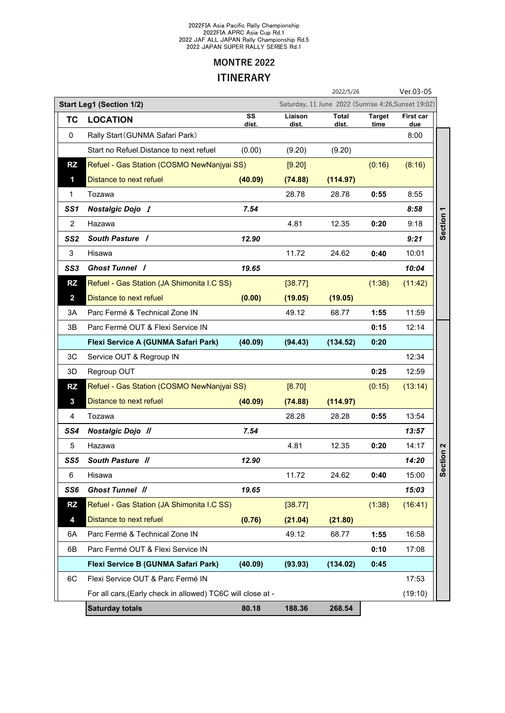#### 2022FIA Asia Pacific Rally Championship 2022FIA APRC Asia Cup Rd.1 2022 JAF ALL JAPAN Rally Championship Rd.5 2022 JAPAN SUPER RALLY SERIES Rd.1

## **MONTRE 2022 ITINERARY**

|                |                                                             |             |                  | 2022/5/26                                           |                       | Ver.03-05        |                      |
|----------------|-------------------------------------------------------------|-------------|------------------|-----------------------------------------------------|-----------------------|------------------|----------------------|
|                | <b>Start Leg1 (Section 1/2)</b>                             |             |                  | Saturday, 11 June 2022 (Sunrise 4:26, Sunset 19:02) |                       |                  |                      |
| TC             | <b>LOCATION</b>                                             | SS<br>dist. | Liaison<br>dist. | Total<br>dist.                                      | <b>Target</b><br>time | First car<br>due |                      |
| $\mathbf{0}$   | Rally Start (GUNMA Safari Park)                             |             |                  |                                                     |                       | 8:00             |                      |
|                | Start no Refuel.Distance to next refuel                     | (0.00)      | (9.20)           | (9.20)                                              |                       |                  |                      |
| <b>RZ</b>      | Refuel - Gas Station (COSMO NewNanjyai SS)                  |             | [9.20]           |                                                     | (0:16)                | (8:16)           |                      |
| 1              | Distance to next refuel                                     | (40.09)     | (74.88)          | (114.97)                                            |                       |                  |                      |
| 1              | Tozawa                                                      |             | 28.78            | 28.78                                               | 0:55                  | 8:55             |                      |
| SS1            | <b>Nostalgic Dojo I</b>                                     | 7.54        |                  |                                                     |                       | 8:58             |                      |
| $\overline{2}$ | Hazawa                                                      |             | 4.81             | 12.35                                               | 0:20                  | 9:18             | Section <sub>1</sub> |
| SS2            | South Pasture /                                             | 12.90       |                  |                                                     |                       | 9:21             |                      |
| 3              | Hisawa                                                      |             | 11.72            | 24.62                                               | 0:40                  | 10:01            |                      |
| SS3            | <b>Ghost Tunnel /</b>                                       | 19.65       |                  |                                                     |                       | 10:04            |                      |
| <b>RZ</b>      | Refuel - Gas Station (JA Shimonita I.C SS)                  |             | [38.77]          |                                                     | (1:38)                | (11:42)          |                      |
| $\overline{2}$ | Distance to next refuel                                     | (0.00)      | (19.05)          | (19.05)                                             |                       |                  |                      |
| 3A             | Parc Fermé & Technical Zone IN                              |             | 49.12            | 68.77                                               | 1:55                  | 11:59            |                      |
| 3В             | Parc Fermé OUT & Flexi Service IN                           |             |                  |                                                     | 0:15                  | 12:14            |                      |
|                | Flexi Service A (GUNMA Safari Park)                         | (40.09)     | (94.43)          | (134.52)                                            | 0:20                  |                  |                      |
| 3C             | Service OUT & Regroup IN                                    |             |                  |                                                     |                       | 12:34            |                      |
| 3D             | Regroup OUT                                                 |             |                  |                                                     | 0:25                  | 12:59            |                      |
| <b>RZ</b>      | Refuel - Gas Station (COSMO NewNanjyai SS)                  |             | [8.70]           |                                                     | (0:15)                | (13:14)          |                      |
| $\mathbf{3}$   | Distance to next refuel                                     | (40.09)     | (74.88)          | (114.97)                                            |                       |                  |                      |
| 4              | Tozawa                                                      |             | 28.28            | 28.28                                               | 0:55                  | 13:54            |                      |
| SS4            | <b>Nostalgic Dojo //</b>                                    | 7.54        |                  |                                                     |                       | 13:57            |                      |
| 5              | Hazawa                                                      |             | 4.81             | 12.35                                               | 0:20                  | 14:17            |                      |
| SS5            | South Pasture //                                            | 12.90       |                  |                                                     |                       | 14:20            | ction <sub>2</sub>   |
| 6              | Hisawa                                                      |             | 11.72            | 24.62                                               | 0:40                  | 15:00            | တိ                   |
| SS6            | <b>Ghost Tunnel //</b>                                      | 19.65       |                  |                                                     |                       | 15:03            |                      |
| <b>RZ</b>      | Refuel - Gas Station (JA Shimonita I.C SS)                  |             | [38.77]          |                                                     | (1:38)                | (16:41)          |                      |
| 4              | Distance to next refuel                                     | (0.76)      | (21.04)          | (21.80)                                             |                       |                  |                      |
| 6A             | Parc Fermé & Technical Zone IN                              |             | 49.12            | 68.77                                               | 1:55                  | 16:58            |                      |
| 6B             | Parc Fermé OUT & Flexi Service IN                           |             |                  |                                                     | 0:10                  | 17:08            |                      |
|                | Flexi Service B (GUNMA Safari Park)                         | (40.09)     | (93.93)          | (134.02)                                            | 0:45                  |                  |                      |
| 6C             | Flexi Service OUT & Parc Fermé IN                           |             |                  |                                                     |                       | 17:53            |                      |
|                | For all cars, (Early check in allowed) TC6C will close at - |             |                  |                                                     |                       | (19:10)          |                      |
|                | <b>Saturday totals</b>                                      | 80.18       | 188.36           | 268.54                                              |                       |                  |                      |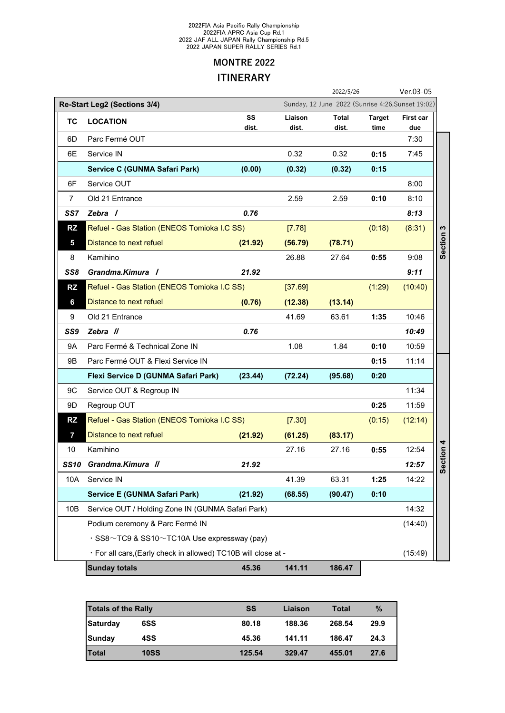#### 2022FIA Asia Pacific Rally Championship 2022FIA APRC Asia Cup Rd.1 2022 JAF ALL JAPAN Rally Championship Rd.5 2022 JAPAN SUPER RALLY SERIES Rd.1

## **MONTRE 2022 ITINERARY**

|                                                                                   |                                                                 |             |                  | 2022/5/26             |                       | Ver.03-05        |           |
|-----------------------------------------------------------------------------------|-----------------------------------------------------------------|-------------|------------------|-----------------------|-----------------------|------------------|-----------|
| Sunday, 12 June 2022 (Sunrise 4:26, Sunset 19:02)<br>Re-Start Leg2 (Sections 3/4) |                                                                 |             |                  |                       |                       |                  |           |
| тс                                                                                | <b>LOCATION</b>                                                 | SS<br>dist. | Liaison<br>dist. | <b>Total</b><br>dist. | <b>Target</b><br>time | First car<br>due |           |
| 6D                                                                                | Parc Fermé OUT                                                  |             |                  |                       |                       | 7:30             |           |
| 6E                                                                                | Service IN                                                      |             | 0.32             | 0.32                  | 0:15                  | 7:45             |           |
|                                                                                   | Service C (GUNMA Safari Park)                                   | (0.00)      | (0.32)           | (0.32)                | 0:15                  |                  |           |
| 6F                                                                                | Service OUT                                                     |             |                  |                       |                       | 8:00             |           |
| $\overline{7}$                                                                    | Old 21 Entrance                                                 |             | 2.59             | 2.59                  | 0:10                  | 8:10             |           |
| SS7                                                                               | Zebra /                                                         | 0.76        |                  |                       |                       | 8:13             |           |
| <b>RZ</b>                                                                         | Refuel - Gas Station (ENEOS Tomioka I.C SS)                     |             | [7.78]           |                       | (0:18)                | (8:31)           |           |
| 5                                                                                 | Distance to next refuel                                         | (21.92)     | (56.79)          | (78.71)               |                       |                  | Section 3 |
| 8                                                                                 | Kamihino                                                        |             | 26.88            | 27.64                 | 0:55                  | 9:08             |           |
| SS8                                                                               | Grandma.Kimura /                                                | 21.92       |                  |                       |                       | 9:11             |           |
| <b>RZ</b>                                                                         | Refuel - Gas Station (ENEOS Tomioka I.C SS)                     |             | [37.69]          |                       | (1:29)                | (10:40)          |           |
| 6                                                                                 | Distance to next refuel                                         | (0.76)      | (12.38)          | (13.14)               |                       |                  |           |
| 9                                                                                 | Old 21 Entrance                                                 |             | 41.69            | 63.61                 | 1:35                  | 10:46            |           |
| SS9                                                                               | Zebra //                                                        | 0.76        |                  |                       |                       | 10:49            |           |
| <b>9A</b>                                                                         | Parc Fermé & Technical Zone IN                                  |             | 1.08             | 1.84                  | 0:10                  | 10:59            |           |
| 9B                                                                                | Parc Fermé OUT & Flexi Service IN                               |             |                  |                       | 0:15                  | 11:14            |           |
|                                                                                   | Flexi Service D (GUNMA Safari Park)                             | (23.44)     | (72.24)          | (95.68)               | 0:20                  |                  |           |
| 9C                                                                                | Service OUT & Regroup IN                                        |             |                  |                       |                       | 11:34            |           |
| 9D                                                                                | Regroup OUT                                                     |             |                  |                       | 0:25                  | 11:59            |           |
| <b>RZ</b>                                                                         | Refuel - Gas Station (ENEOS Tomioka I.C SS)                     |             | [7.30]           |                       | (0:15)                | (12:14)          |           |
| $\overline{7}$                                                                    | Distance to next refuel                                         | (21.92)     | (61.25)          | (83.17)               |                       |                  |           |
| 10                                                                                | Kamihino                                                        |             | 27.16            | 27.16                 | 0:55                  | 12:54            | 4         |
| <b>SS10</b>                                                                       | Grandma.Kimura //                                               | 21.92       |                  |                       |                       | 12:57            | Section   |
| 10A                                                                               | Service IN                                                      |             | 41.39            | 63.31                 | 1:25                  | 14:22            |           |
|                                                                                   | <b>Service E (GUNMA Safari Park)</b>                            | (21.92)     | (68.55)          | (90.47)               | 0:10                  |                  |           |
| 10B                                                                               | Service OUT / Holding Zone IN (GUNMA Safari Park)               |             |                  |                       |                       | 14:32            |           |
|                                                                                   | Podium ceremony & Parc Fermé IN                                 |             |                  |                       |                       | (14:40)          |           |
|                                                                                   | $\cdot$ SS8 $\sim$ TC9 & SS10 $\sim$ TC10A Use expressway (pay) |             |                  |                       |                       |                  |           |
|                                                                                   | · For all cars, (Early check in allowed) TC10B will close at -  |             |                  |                       |                       | (15:49)          |           |
|                                                                                   | <b>Sunday totals</b>                                            | 45.36       | 141.11           | 186.47                |                       |                  |           |

| <b>Totals of the Rally</b> |             | SS     | Liaison | Total  | $\%$ |
|----------------------------|-------------|--------|---------|--------|------|
| <b>Saturday</b>            | 6SS         | 80.18  | 188.36  | 268.54 | 29.9 |
| <b>Sunday</b>              | 4SS         | 45.36  | 141.11  | 186.47 | 24.3 |
| <b>Total</b>               | <b>10SS</b> | 125.54 | 329.47  | 455.01 | 27.6 |